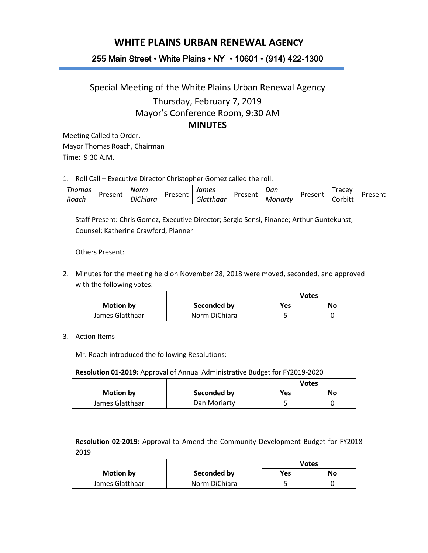# **WHITE PLAINS URBAN RENEWAL AGENCY**

## 255 Main Street • White Plains • NY • 10601 • (914) 422-1300

# Special Meeting of the White Plains Urban Renewal Agency Thursday, February 7, 2019 Mayor's Conference Room, 9:30 AM **MINUTES**

Meeting Called to Order. Mayor Thomas Roach, Chairman Time: 9:30 A.M.

1. Roll Call – Executive Director Christopher Gomez called the roll.

| Thomas | Present | Norm            | Present | James     | Present | Dan      | Present | racey        | Present |
|--------|---------|-----------------|---------|-----------|---------|----------|---------|--------------|---------|
| Roach  |         | <i>DiChiara</i> |         | Glatthaar |         | Moriartv |         | .<br>Corbitt |         |

Staff Present: Chris Gomez, Executive Director; Sergio Sensi, Finance; Arthur Guntekunst; Counsel; Katherine Crawford, Planner

Others Present:

2. Minutes for the meeting held on November 28, 2018 were moved, seconded, and approved with the following votes:

|                  |               | Votes      |    |
|------------------|---------------|------------|----|
| <b>Motion by</b> | Seconded by   | <b>Yes</b> | No |
| James Glatthaar  | Norm DiChiara |            |    |

#### 3. Action Items

Mr. Roach introduced the following Resolutions:

**Resolution 01-2019:** Approval of Annual Administrative Budget for FY2019-2020

|                  |              | <b>Votes</b> |    |
|------------------|--------------|--------------|----|
| <b>Motion by</b> | Seconded by  | Yes          | No |
| James Glatthaar  | Dan Moriarty |              |    |

**Resolution 02-2019:** Approval to Amend the Community Development Budget for FY2018- 2019

|                  |               | <b>Votes</b> |    |
|------------------|---------------|--------------|----|
| <b>Motion by</b> | Seconded by   | Yes          | No |
| James Glatthaar  | Norm DiChiara |              |    |